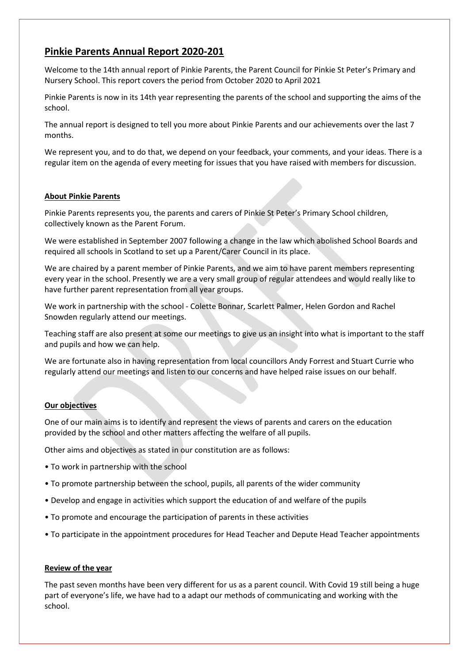# Pinkie Parents Annual Report 2020-201

Welcome to the 14th annual report of Pinkie Parents, the Parent Council for Pinkie St Peter's Primary and Nursery School. This report covers the period from October 2020 to April 2021

Pinkie Parents is now in its 14th year representing the parents of the school and supporting the aims of the school.

The annual report is designed to tell you more about Pinkie Parents and our achievements over the last 7 months.

We represent you, and to do that, we depend on your feedback, your comments, and your ideas. There is a regular item on the agenda of every meeting for issues that you have raised with members for discussion.

# About Pinkie Parents

Pinkie Parents represents you, the parents and carers of Pinkie St Peter's Primary School children, collectively known as the Parent Forum.

We were established in September 2007 following a change in the law which abolished School Boards and required all schools in Scotland to set up a Parent/Carer Council in its place.

We are chaired by a parent member of Pinkie Parents, and we aim to have parent members representing every year in the school. Presently we are a very small group of regular attendees and would really like to have further parent representation from all year groups.

We work in partnership with the school - Colette Bonnar, Scarlett Palmer, Helen Gordon and Rachel Snowden regularly attend our meetings.

Teaching staff are also present at some our meetings to give us an insight into what is important to the staff and pupils and how we can help.

We are fortunate also in having representation from local councillors Andy Forrest and Stuart Currie who regularly attend our meetings and listen to our concerns and have helped raise issues on our behalf.

# Our objectives

One of our main aims is to identify and represent the views of parents and carers on the education provided by the school and other matters affecting the welfare of all pupils.

Other aims and objectives as stated in our constitution are as follows:

- To work in partnership with the school
- To promote partnership between the school, pupils, all parents of the wider community
- Develop and engage in activities which support the education of and welfare of the pupils
- To promote and encourage the participation of parents in these activities
- To participate in the appointment procedures for Head Teacher and Depute Head Teacher appointments

# Review of the year

The past seven months have been very different for us as a parent council. With Covid 19 still being a huge part of everyone's life, we have had to a adapt our methods of communicating and working with the school.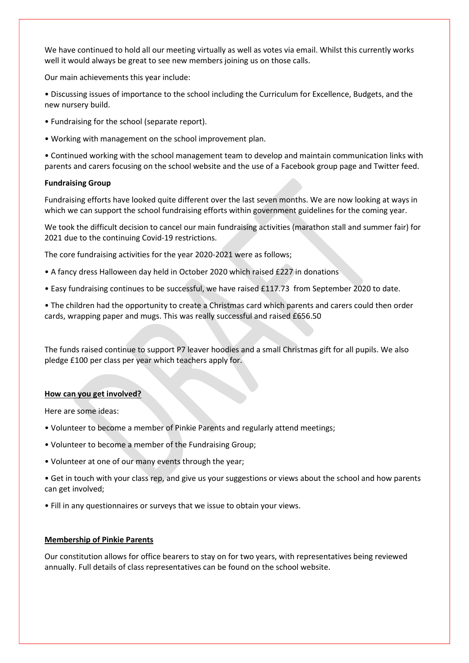We have continued to hold all our meeting virtually as well as votes via email. Whilst this currently works well it would always be great to see new members joining us on those calls.

Our main achievements this year include:

• Discussing issues of importance to the school including the Curriculum for Excellence, Budgets, and the new nursery build.

- Fundraising for the school (separate report).
- Working with management on the school improvement plan.

• Continued working with the school management team to develop and maintain communication links with parents and carers focusing on the school website and the use of a Facebook group page and Twitter feed.

#### Fundraising Group

Fundraising efforts have looked quite different over the last seven months. We are now looking at ways in which we can support the school fundraising efforts within government guidelines for the coming year.

We took the difficult decision to cancel our main fundraising activities (marathon stall and summer fair) for 2021 due to the continuing Covid-19 restrictions.

The core fundraising activities for the year 2020-2021 were as follows;

- A fancy dress Halloween day held in October 2020 which raised £227 in donations
- Easy fundraising continues to be successful, we have raised £117.73 from September 2020 to date.

• The children had the opportunity to create a Christmas card which parents and carers could then order cards, wrapping paper and mugs. This was really successful and raised £656.50

The funds raised continue to support P7 leaver hoodies and a small Christmas gift for all pupils. We also pledge £100 per class per year which teachers apply for.

#### How can you get involved?

Here are some ideas:

- Volunteer to become a member of Pinkie Parents and regularly attend meetings;
- Volunteer to become a member of the Fundraising Group;
- Volunteer at one of our many events through the year;

• Get in touch with your class rep, and give us your suggestions or views about the school and how parents can get involved;

• Fill in any questionnaires or surveys that we issue to obtain your views.

# Membership of Pinkie Parents

Our constitution allows for office bearers to stay on for two years, with representatives being reviewed annually. Full details of class representatives can be found on the school website.